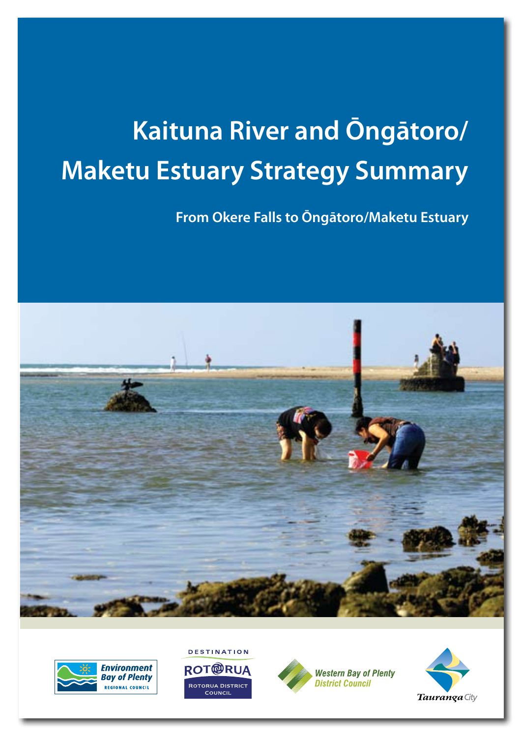# **Kaituna River and Ōngātoro/ Maketu Estuary Strategy Summary**

**From Okere Falls to Ōngātoro/Maketu Estuary**









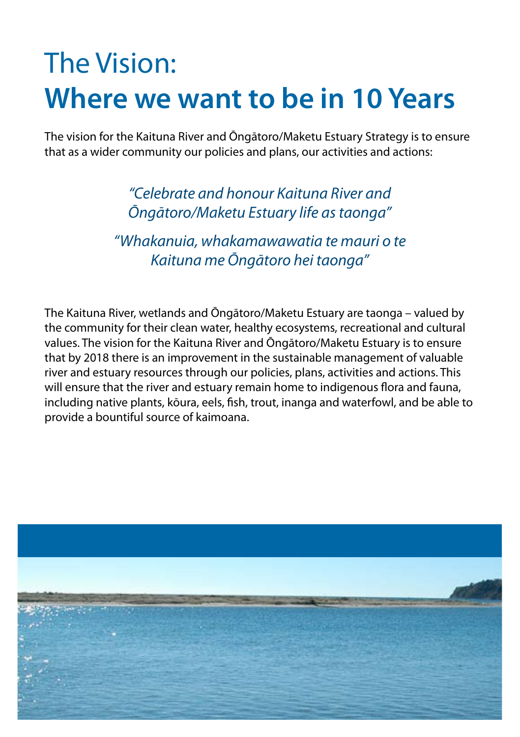## The Vision: **Where we want to be in 10 Years**

The vision for the Kaituna River and Ōngātoro/Maketu Estuary Strategy is to ensure that as a wider community our policies and plans, our activities and actions:

> *"Celebrate and honour Kaituna River and Ōngātoro/Maketu Estuary life as taonga"*

*"Whakanuia, whakamawawatia te mauri o te Kaituna me Ōngātoro hei taonga"*

The Kaituna River, wetlands and Ōngātoro/Maketu Estuary are taonga – valued by the community for their clean water, healthy ecosystems, recreational and cultural values. The vision for the Kaituna River and Ōngātoro/Maketu Estuary is to ensure that by 2018 there is an improvement in the sustainable management of valuable river and estuary resources through our policies, plans, activities and actions. This will ensure that the river and estuary remain home to indigenous flora and fauna, including native plants, kōura, eels, fish, trout, inanga and waterfowl, and be able to provide a bountiful source of kaimoana.

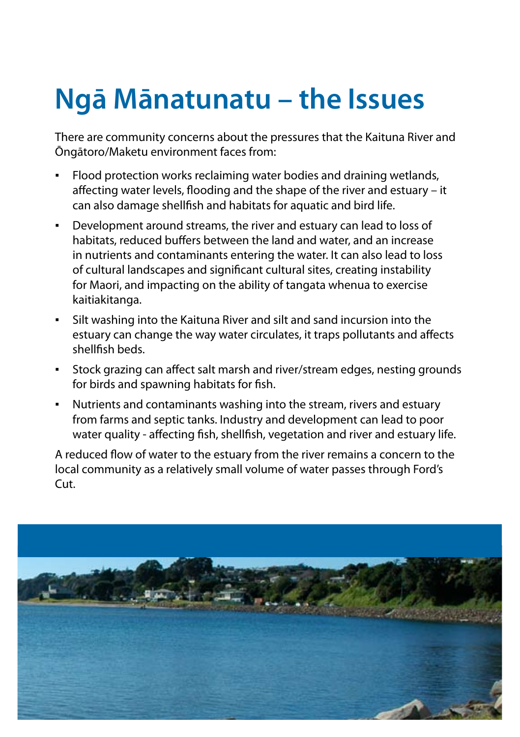# **Ngā Mānatunatu – the Issues**

There are community concerns about the pressures that the Kaituna River and Ōngātoro/Maketu environment faces from:

- Flood protection works reclaiming water bodies and draining wetlands, affecting water levels, flooding and the shape of the river and estuary – it can also damage shellfish and habitats for aquatic and bird life.
- Development around streams, the river and estuary can lead to loss of habitats, reduced buffers between the land and water, and an increase in nutrients and contaminants entering the water. It can also lead to loss of cultural landscapes and significant cultural sites, creating instability for Maori, and impacting on the ability of tangata whenua to exercise kaitiakitanga.
- Silt washing into the Kaituna River and silt and sand incursion into the estuary can change the way water circulates, it traps pollutants and affects shellfish beds.
- Stock grazing can affect salt marsh and river/stream edges, nesting grounds for birds and spawning habitats for fish.
- Nutrients and contaminants washing into the stream, rivers and estuary from farms and septic tanks. Industry and development can lead to poor water quality - affecting fish, shellfish, vegetation and river and estuary life.

A reduced flow of water to the estuary from the river remains a concern to the local community as a relatively small volume of water passes through Ford's Cut.

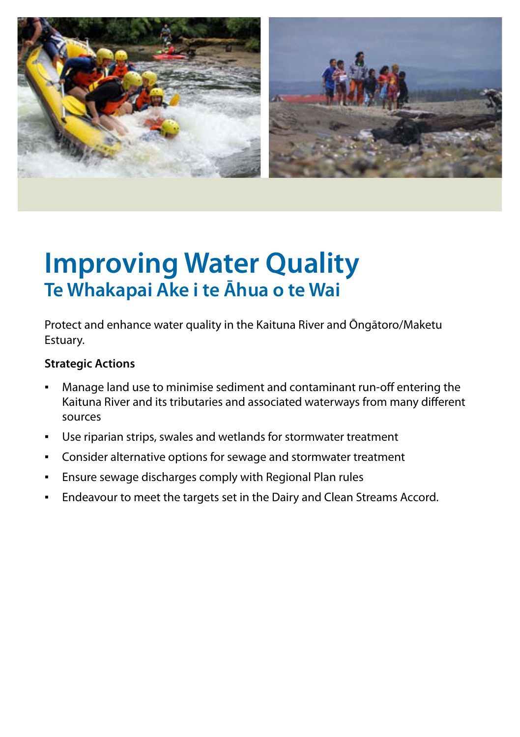

## **Improving Water Quality Te Whakapai Ake i te Āhua o te Wai**

Protect and enhance water quality in the Kaituna River and Ōngātoro/Maketu Estuary.

- Manage land use to minimise sediment and contaminant run-off entering the Kaituna River and its tributaries and associated waterways from many different sources
- Use riparian strips, swales and wetlands for stormwater treatment
- Consider alternative options for sewage and stormwater treatment
- Ensure sewage discharges comply with Regional Plan rules
- Endeavour to meet the targets set in the Dairy and Clean Streams Accord.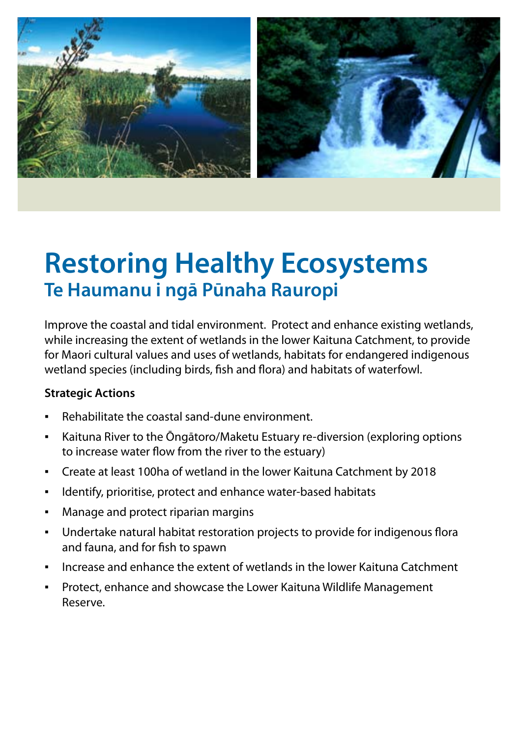

## **Restoring Healthy Ecosystems Te Haumanu i ngā Pūnaha Rauropi**

Improve the coastal and tidal environment. Protect and enhance existing wetlands, while increasing the extent of wetlands in the lower Kaituna Catchment, to provide for Maori cultural values and uses of wetlands, habitats for endangered indigenous wetland species (including birds, fish and flora) and habitats of waterfowl.

- Rehabilitate the coastal sand-dune environment.
- Kaituna River to the Ōngātoro/Maketu Estuary re-diversion (exploring options to increase water flow from the river to the estuary)
- Create at least 100ha of wetland in the lower Kaituna Catchment by 2018
- Identify, prioritise, protect and enhance water-based habitats
- Manage and protect riparian margins
- Undertake natural habitat restoration projects to provide for indigenous flora and fauna, and for fish to spawn
- Increase and enhance the extent of wetlands in the lower Kaituna Catchment
- Protect, enhance and showcase the Lower Kaituna Wildlife Management Reserve.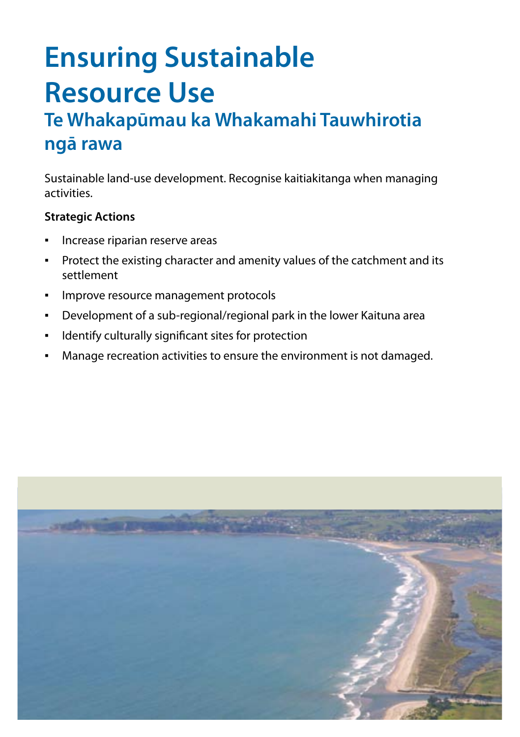# **Ensuring Sustainable Resource Use**

### **Te Whakapūmau ka Whakamahi Tauwhirotia ngā rawa**

Sustainable land-use development. Recognise kaitiakitanga when managing activities.

- Increase riparian reserve areas
- Protect the existing character and amenity values of the catchment and its settlement
- Improve resource management protocols
- Development of a sub-regional/regional park in the lower Kaituna area
- Identify culturally significant sites for protection
- Manage recreation activities to ensure the environment is not damaged.

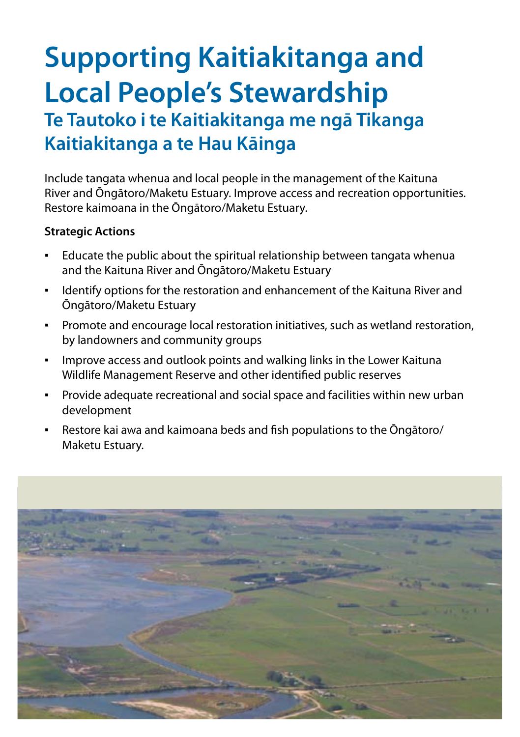## **Supporting Kaitiakitanga and Local People's Stewardship Te Tautoko i te Kaitiakitanga me ngā Tikanga Kaitiakitanga a te Hau Kāinga**

Include tangata whenua and local people in the management of the Kaituna River and Ōngātoro/Maketu Estuary. Improve access and recreation opportunities. Restore kaimoana in the Ōngātoro/Maketu Estuary.

- Educate the public about the spiritual relationship between tangata whenua and the Kaituna River and Ōngātoro/Maketu Estuary
- Identify options for the restoration and enhancement of the Kaituna River and Ōngātoro/Maketu Estuary
- Promote and encourage local restoration initiatives, such as wetland restoration, by landowners and community groups
- **•** Improve access and outlook points and walking links in the Lower Kaituna Wildlife Management Reserve and other identified public reserves
- Provide adequate recreational and social space and facilities within new urban development
- Restore kai awa and kaimoana beds and fish populations to the Ōngātoro/ Maketu Estuary.